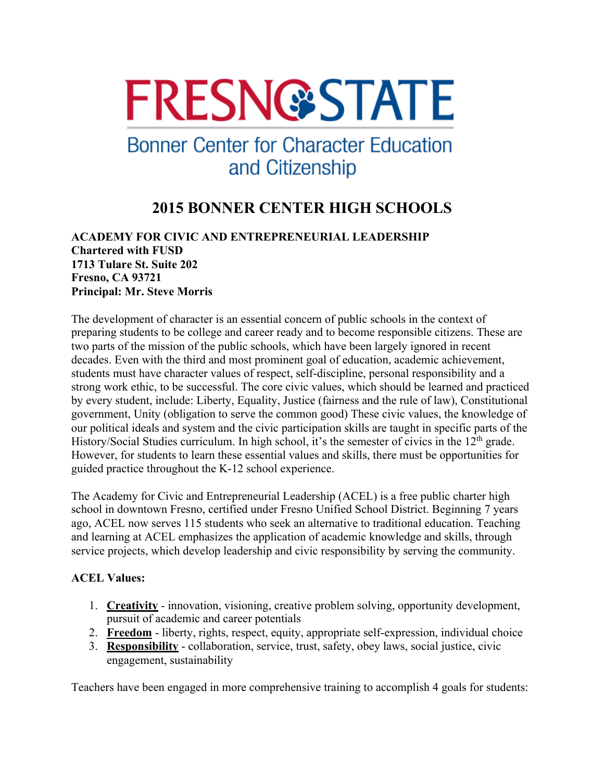# **FRESN@STATE**

## **Bonner Center for Character Education** and Citizenship

### **2015 BONNER CENTER HIGH SCHOOLS**

**ACADEMY FOR CIVIC AND ENTREPRENEURIAL LEADERSHIP Chartered with FUSD 1713 Tulare St. Suite 202 Fresno, CA 93721 Principal: Mr. Steve Morris**

The development of character is an essential concern of public schools in the context of preparing students to be college and career ready and to become responsible citizens. These are two parts of the mission of the public schools, which have been largely ignored in recent decades. Even with the third and most prominent goal of education, academic achievement, students must have character values of respect, self-discipline, personal responsibility and a strong work ethic, to be successful. The core civic values, which should be learned and practiced by every student, include: Liberty, Equality, Justice (fairness and the rule of law), Constitutional government, Unity (obligation to serve the common good) These civic values, the knowledge of our political ideals and system and the civic participation skills are taught in specific parts of the History/Social Studies curriculum. In high school, it's the semester of civics in the 12<sup>th</sup> grade. However, for students to learn these essential values and skills, there must be opportunities for guided practice throughout the K-12 school experience.

The Academy for Civic and Entrepreneurial Leadership (ACEL) is a free public charter high school in downtown Fresno, certified under Fresno Unified School District. Beginning 7 years ago, ACEL now serves 115 students who seek an alternative to traditional education. Teaching and learning at ACEL emphasizes the application of academic knowledge and skills, through service projects, which develop leadership and civic responsibility by serving the community.

#### **ACEL Values:**

- 1. **Creativity** innovation, visioning, creative problem solving, opportunity development, pursuit of academic and career potentials
- 2. **Freedom** liberty, rights, respect, equity, appropriate self-expression, individual choice
- 3. **Responsibility** collaboration, service, trust, safety, obey laws, social justice, civic engagement, sustainability

Teachers have been engaged in more comprehensive training to accomplish 4 goals for students: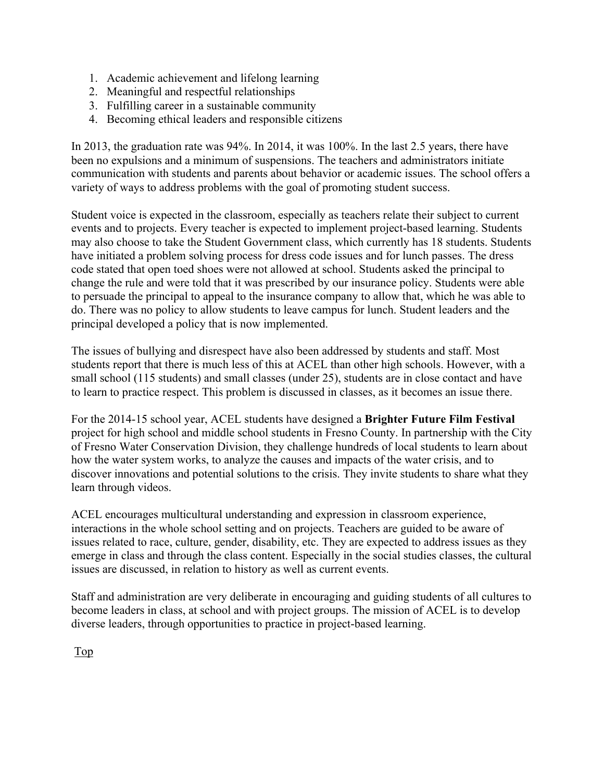- 1. Academic achievement and lifelong learning
- 2. Meaningful and respectful relationships
- 3. Fulfilling career in a sustainable community
- 4. Becoming ethical leaders and responsible citizens

In 2013, the graduation rate was 94%. In 2014, it was 100%. In the last 2.5 years, there have been no expulsions and a minimum of suspensions. The teachers and administrators initiate communication with students and parents about behavior or academic issues. The school offers a variety of ways to address problems with the goal of promoting student success.

Student voice is expected in the classroom, especially as teachers relate their subject to current events and to projects. Every teacher is expected to implement project-based learning. Students may also choose to take the Student Government class, which currently has 18 students. Students have initiated a problem solving process for dress code issues and for lunch passes. The dress code stated that open toed shoes were not allowed at school. Students asked the principal to change the rule and were told that it was prescribed by our insurance policy. Students were able to persuade the principal to appeal to the insurance company to allow that, which he was able to do. There was no policy to allow students to leave campus for lunch. Student leaders and the principal developed a policy that is now implemented.

The issues of bullying and disrespect have also been addressed by students and staff. Most students report that there is much less of this at ACEL than other high schools. However, with a small school (115 students) and small classes (under 25), students are in close contact and have to learn to practice respect. This problem is discussed in classes, as it becomes an issue there.

For the 2014-15 school year, ACEL students have designed a **Brighter Future Film Festival** project for high school and middle school students in Fresno County. In partnership with the City of Fresno Water Conservation Division, they challenge hundreds of local students to learn about how the water system works, to analyze the causes and impacts of the water crisis, and to discover innovations and potential solutions to the crisis. They invite students to share what they learn through videos.

ACEL encourages multicultural understanding and expression in classroom experience, interactions in the whole school setting and on projects. Teachers are guided to be aware of issues related to race, culture, gender, disability, etc. They are expected to address issues as they emerge in class and through the class content. Especially in the social studies classes, the cultural issues are discussed, in relation to history as well as current events.

Staff and administration are very deliberate in encouraging and guiding students of all cultures to become leaders in class, at school and with project groups. The mission of ACEL is to develop diverse leaders, through opportunities to practice in project-based learning.

Top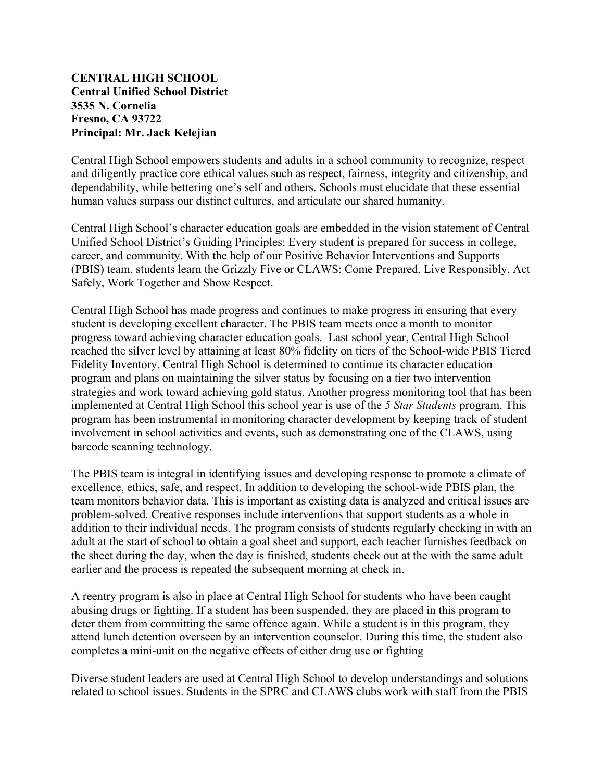#### **CENTRAL HIGH SCHOOL Central Unified School District 3535 N. Cornelia Fresno, CA 93722 Principal: Mr. Jack Kelejian**

Central High School empowers students and adults in a school community to recognize, respect and diligently practice core ethical values such as respect, fairness, integrity and citizenship, and dependability, while bettering one's self and others. Schools must elucidate that these essential human values surpass our distinct cultures, and articulate our shared humanity.

Central High School's character education goals are embedded in the vision statement of Central Unified School District's Guiding Principles: Every student is prepared for success in college, career, and community. With the help of our Positive Behavior Interventions and Supports (PBIS) team, students learn the Grizzly Five or CLAWS: Come Prepared, Live Responsibly, Act Safely, Work Together and Show Respect.

Central High School has made progress and continues to make progress in ensuring that every student is developing excellent character. The PBIS team meets once a month to monitor progress toward achieving character education goals. Last school year, Central High School reached the silver level by attaining at least 80% fidelity on tiers of the School-wide PBIS Tiered Fidelity Inventory. Central High School is determined to continue its character education program and plans on maintaining the silver status by focusing on a tier two intervention strategies and work toward achieving gold status. Another progress monitoring tool that has been implemented at Central High School this school year is use of the *5 Star Students* program. This program has been instrumental in monitoring character development by keeping track of student involvement in school activities and events, such as demonstrating one of the CLAWS, using barcode scanning technology.

The PBIS team is integral in identifying issues and developing response to promote a climate of excellence, ethics, safe, and respect. In addition to developing the school-wide PBIS plan, the team monitors behavior data. This is important as existing data is analyzed and critical issues are problem-solved. Creative responses include interventions that support students as a whole in addition to their individual needs. The program consists of students regularly checking in with an adult at the start of school to obtain a goal sheet and support, each teacher furnishes feedback on the sheet during the day, when the day is finished, students check out at the with the same adult earlier and the process is repeated the subsequent morning at check in.

A reentry program is also in place at Central High School for students who have been caught abusing drugs or fighting. If a student has been suspended, they are placed in this program to deter them from committing the same offence again. While a student is in this program, they attend lunch detention overseen by an intervention counselor. During this time, the student also completes a mini-unit on the negative effects of either drug use or fighting

Diverse student leaders are used at Central High School to develop understandings and solutions related to school issues. Students in the SPRC and CLAWS clubs work with staff from the PBIS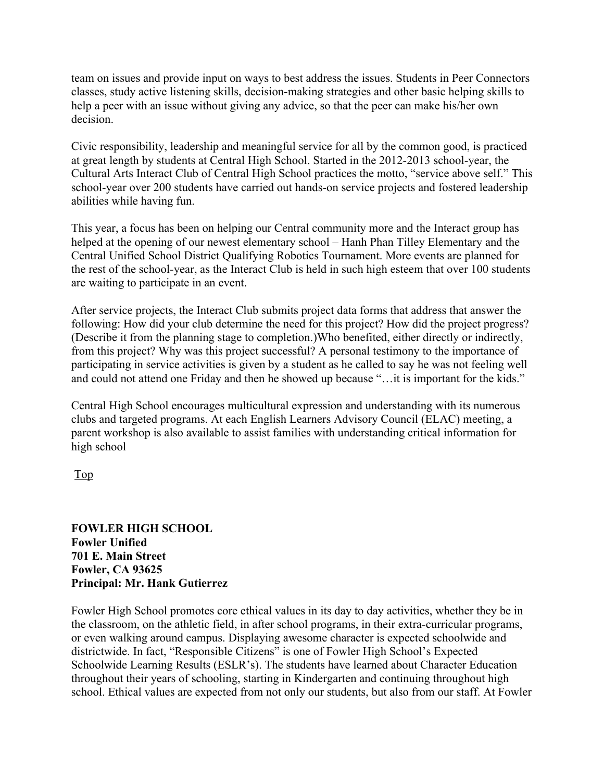team on issues and provide input on ways to best address the issues. Students in Peer Connectors classes, study active listening skills, decision-making strategies and other basic helping skills to help a peer with an issue without giving any advice, so that the peer can make his/her own decision.

Civic responsibility, leadership and meaningful service for all by the common good, is practiced at great length by students at Central High School. Started in the 2012-2013 school-year, the Cultural Arts Interact Club of Central High School practices the motto, "service above self." This school-year over 200 students have carried out hands-on service projects and fostered leadership abilities while having fun.

This year, a focus has been on helping our Central community more and the Interact group has helped at the opening of our newest elementary school – Hanh Phan Tilley Elementary and the Central Unified School District Qualifying Robotics Tournament. More events are planned for the rest of the school-year, as the Interact Club is held in such high esteem that over 100 students are waiting to participate in an event.

After service projects, the Interact Club submits project data forms that address that answer the following: How did your club determine the need for this project? How did the project progress? (Describe it from the planning stage to completion.)Who benefited, either directly or indirectly, from this project? Why was this project successful? A personal testimony to the importance of participating in service activities is given by a student as he called to say he was not feeling well and could not attend one Friday and then he showed up because "…it is important for the kids."

Central High School encourages multicultural expression and understanding with its numerous clubs and targeted programs. At each English Learners Advisory Council (ELAC) meeting, a parent workshop is also available to assist families with understanding critical information for high school

Top

**FOWLER HIGH SCHOOL Fowler Unified 701 E. Main Street Fowler, CA 93625 Principal: Mr. Hank Gutierrez**

Fowler High School promotes core ethical values in its day to day activities, whether they be in the classroom, on the athletic field, in after school programs, in their extra-curricular programs, or even walking around campus. Displaying awesome character is expected schoolwide and districtwide. In fact, "Responsible Citizens" is one of Fowler High School's Expected Schoolwide Learning Results (ESLR's). The students have learned about Character Education throughout their years of schooling, starting in Kindergarten and continuing throughout high school. Ethical values are expected from not only our students, but also from our staff. At Fowler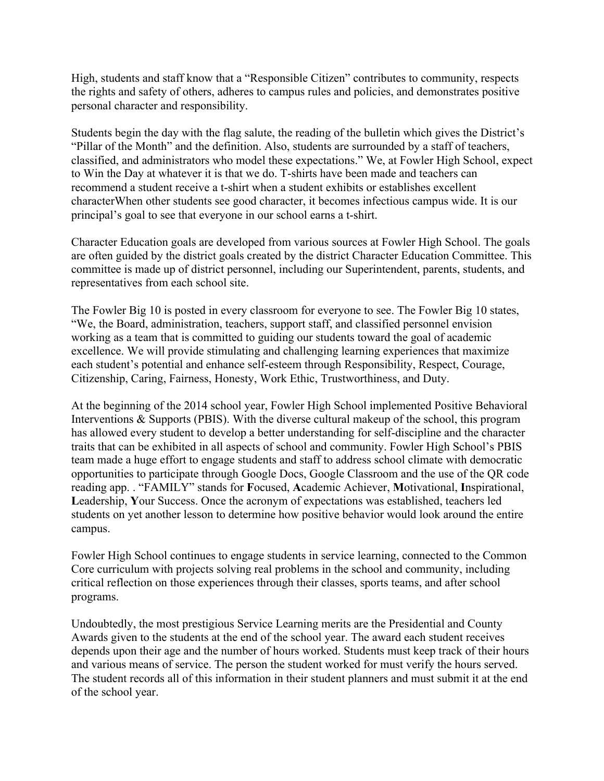High, students and staff know that a "Responsible Citizen" contributes to community, respects the rights and safety of others, adheres to campus rules and policies, and demonstrates positive personal character and responsibility.

Students begin the day with the flag salute, the reading of the bulletin which gives the District's "Pillar of the Month" and the definition. Also, students are surrounded by a staff of teachers, classified, and administrators who model these expectations." We, at Fowler High School, expect to Win the Day at whatever it is that we do. T-shirts have been made and teachers can recommend a student receive a t-shirt when a student exhibits or establishes excellent characterWhen other students see good character, it becomes infectious campus wide. It is our principal's goal to see that everyone in our school earns a t-shirt.

Character Education goals are developed from various sources at Fowler High School. The goals are often guided by the district goals created by the district Character Education Committee. This committee is made up of district personnel, including our Superintendent, parents, students, and representatives from each school site.

The Fowler Big 10 is posted in every classroom for everyone to see. The Fowler Big 10 states, "We, the Board, administration, teachers, support staff, and classified personnel envision working as a team that is committed to guiding our students toward the goal of academic excellence. We will provide stimulating and challenging learning experiences that maximize each student's potential and enhance self-esteem through Responsibility, Respect, Courage, Citizenship, Caring, Fairness, Honesty, Work Ethic, Trustworthiness, and Duty.

At the beginning of the 2014 school year, Fowler High School implemented Positive Behavioral Interventions & Supports (PBIS). With the diverse cultural makeup of the school, this program has allowed every student to develop a better understanding for self-discipline and the character traits that can be exhibited in all aspects of school and community. Fowler High School's PBIS team made a huge effort to engage students and staff to address school climate with democratic opportunities to participate through Google Docs, Google Classroom and the use of the QR code reading app. . "FAMILY" stands for **F**ocused, **A**cademic Achiever, **M**otivational, **I**nspirational, **L**eadership, **Y**our Success. Once the acronym of expectations was established, teachers led students on yet another lesson to determine how positive behavior would look around the entire campus.

Fowler High School continues to engage students in service learning, connected to the Common Core curriculum with projects solving real problems in the school and community, including critical reflection on those experiences through their classes, sports teams, and after school programs.

Undoubtedly, the most prestigious Service Learning merits are the Presidential and County Awards given to the students at the end of the school year. The award each student receives depends upon their age and the number of hours worked. Students must keep track of their hours and various means of service. The person the student worked for must verify the hours served. The student records all of this information in their student planners and must submit it at the end of the school year.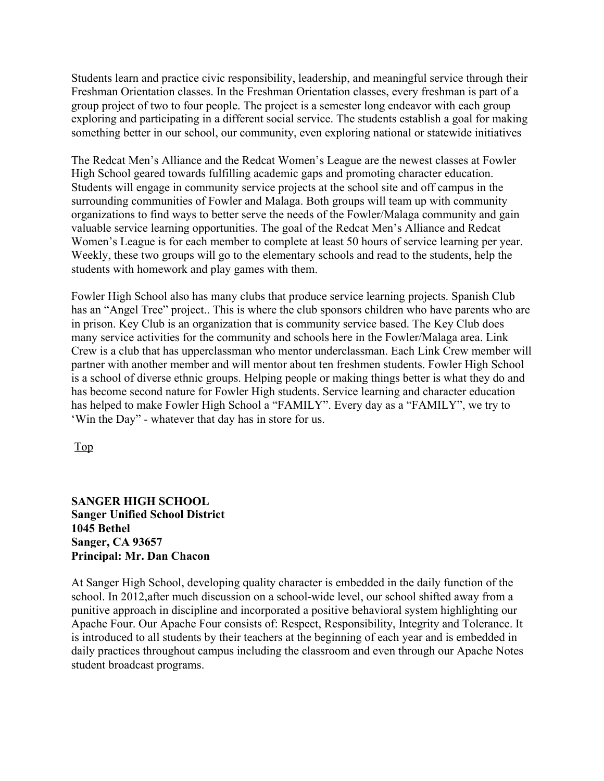Students learn and practice civic responsibility, leadership, and meaningful service through their Freshman Orientation classes. In the Freshman Orientation classes, every freshman is part of a group project of two to four people. The project is a semester long endeavor with each group exploring and participating in a different social service. The students establish a goal for making something better in our school, our community, even exploring national or statewide initiatives

The Redcat Men's Alliance and the Redcat Women's League are the newest classes at Fowler High School geared towards fulfilling academic gaps and promoting character education. Students will engage in community service projects at the school site and off campus in the surrounding communities of Fowler and Malaga. Both groups will team up with community organizations to find ways to better serve the needs of the Fowler/Malaga community and gain valuable service learning opportunities. The goal of the Redcat Men's Alliance and Redcat Women's League is for each member to complete at least 50 hours of service learning per year. Weekly, these two groups will go to the elementary schools and read to the students, help the students with homework and play games with them.

Fowler High School also has many clubs that produce service learning projects. Spanish Club has an "Angel Tree" project.. This is where the club sponsors children who have parents who are in prison. Key Club is an organization that is community service based. The Key Club does many service activities for the community and schools here in the Fowler/Malaga area. Link Crew is a club that has upperclassman who mentor underclassman. Each Link Crew member will partner with another member and will mentor about ten freshmen students. Fowler High School is a school of diverse ethnic groups. Helping people or making things better is what they do and has become second nature for Fowler High students. Service learning and character education has helped to make Fowler High School a "FAMILY". Every day as a "FAMILY", we try to 'Win the Day" - whatever that day has in store for us.

Top

#### **SANGER HIGH SCHOOL Sanger Unified School District 1045 Bethel Sanger, CA 93657 Principal: Mr. Dan Chacon**

At Sanger High School, developing quality character is embedded in the daily function of the school. In 2012,after much discussion on a school-wide level, our school shifted away from a punitive approach in discipline and incorporated a positive behavioral system highlighting our Apache Four. Our Apache Four consists of: Respect, Responsibility, Integrity and Tolerance. It is introduced to all students by their teachers at the beginning of each year and is embedded in daily practices throughout campus including the classroom and even through our Apache Notes student broadcast programs.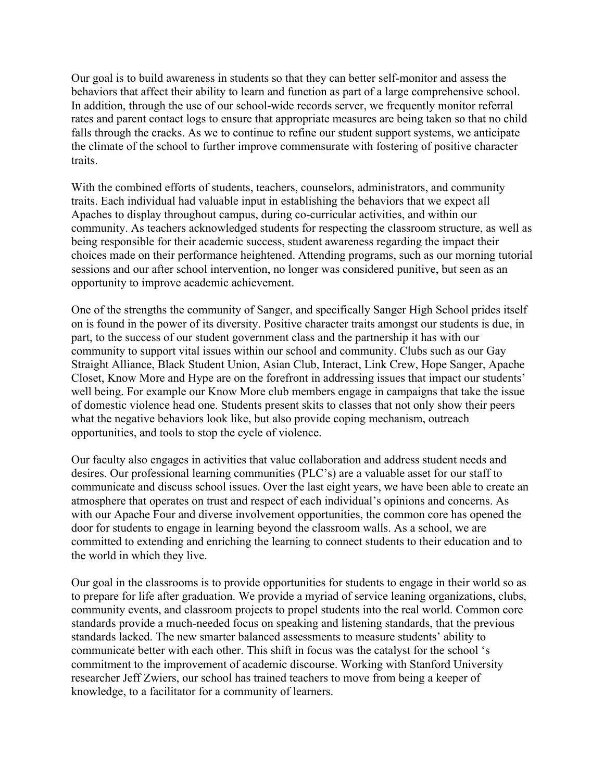Our goal is to build awareness in students so that they can better self-monitor and assess the behaviors that affect their ability to learn and function as part of a large comprehensive school. In addition, through the use of our school-wide records server, we frequently monitor referral rates and parent contact logs to ensure that appropriate measures are being taken so that no child falls through the cracks. As we to continue to refine our student support systems, we anticipate the climate of the school to further improve commensurate with fostering of positive character traits.

With the combined efforts of students, teachers, counselors, administrators, and community traits. Each individual had valuable input in establishing the behaviors that we expect all Apaches to display throughout campus, during co-curricular activities, and within our community. As teachers acknowledged students for respecting the classroom structure, as well as being responsible for their academic success, student awareness regarding the impact their choices made on their performance heightened. Attending programs, such as our morning tutorial sessions and our after school intervention, no longer was considered punitive, but seen as an opportunity to improve academic achievement.

One of the strengths the community of Sanger, and specifically Sanger High School prides itself on is found in the power of its diversity. Positive character traits amongst our students is due, in part, to the success of our student government class and the partnership it has with our community to support vital issues within our school and community. Clubs such as our Gay Straight Alliance, Black Student Union, Asian Club, Interact, Link Crew, Hope Sanger, Apache Closet, Know More and Hype are on the forefront in addressing issues that impact our students' well being. For example our Know More club members engage in campaigns that take the issue of domestic violence head one. Students present skits to classes that not only show their peers what the negative behaviors look like, but also provide coping mechanism, outreach opportunities, and tools to stop the cycle of violence.

Our faculty also engages in activities that value collaboration and address student needs and desires. Our professional learning communities (PLC's) are a valuable asset for our staff to communicate and discuss school issues. Over the last eight years, we have been able to create an atmosphere that operates on trust and respect of each individual's opinions and concerns. As with our Apache Four and diverse involvement opportunities, the common core has opened the door for students to engage in learning beyond the classroom walls. As a school, we are committed to extending and enriching the learning to connect students to their education and to the world in which they live.

Our goal in the classrooms is to provide opportunities for students to engage in their world so as to prepare for life after graduation. We provide a myriad of service leaning organizations, clubs, community events, and classroom projects to propel students into the real world. Common core standards provide a much-needed focus on speaking and listening standards, that the previous standards lacked. The new smarter balanced assessments to measure students' ability to communicate better with each other. This shift in focus was the catalyst for the school 's commitment to the improvement of academic discourse. Working with Stanford University researcher Jeff Zwiers, our school has trained teachers to move from being a keeper of knowledge, to a facilitator for a community of learners.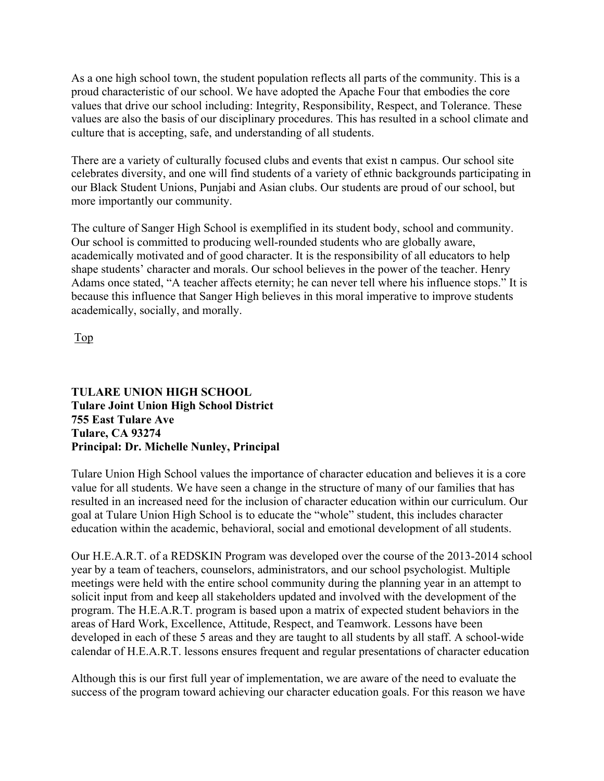As a one high school town, the student population reflects all parts of the community. This is a proud characteristic of our school. We have adopted the Apache Four that embodies the core values that drive our school including: Integrity, Responsibility, Respect, and Tolerance. These values are also the basis of our disciplinary procedures. This has resulted in a school climate and culture that is accepting, safe, and understanding of all students.

There are a variety of culturally focused clubs and events that exist n campus. Our school site celebrates diversity, and one will find students of a variety of ethnic backgrounds participating in our Black Student Unions, Punjabi and Asian clubs. Our students are proud of our school, but more importantly our community.

The culture of Sanger High School is exemplified in its student body, school and community. Our school is committed to producing well-rounded students who are globally aware, academically motivated and of good character. It is the responsibility of all educators to help shape students' character and morals. Our school believes in the power of the teacher. Henry Adams once stated, "A teacher affects eternity; he can never tell where his influence stops." It is because this influence that Sanger High believes in this moral imperative to improve students academically, socially, and morally.

Top

#### **TULARE UNION HIGH SCHOOL Tulare Joint Union High School District 755 East Tulare Ave Tulare, CA 93274 Principal: Dr. Michelle Nunley, Principal**

Tulare Union High School values the importance of character education and believes it is a core value for all students. We have seen a change in the structure of many of our families that has resulted in an increased need for the inclusion of character education within our curriculum. Our goal at Tulare Union High School is to educate the "whole" student, this includes character education within the academic, behavioral, social and emotional development of all students.

Our H.E.A.R.T. of a REDSKIN Program was developed over the course of the 2013-2014 school year by a team of teachers, counselors, administrators, and our school psychologist. Multiple meetings were held with the entire school community during the planning year in an attempt to solicit input from and keep all stakeholders updated and involved with the development of the program. The H.E.A.R.T. program is based upon a matrix of expected student behaviors in the areas of Hard Work, Excellence, Attitude, Respect, and Teamwork. Lessons have been developed in each of these 5 areas and they are taught to all students by all staff. A school-wide calendar of H.E.A.R.T. lessons ensures frequent and regular presentations of character education

Although this is our first full year of implementation, we are aware of the need to evaluate the success of the program toward achieving our character education goals. For this reason we have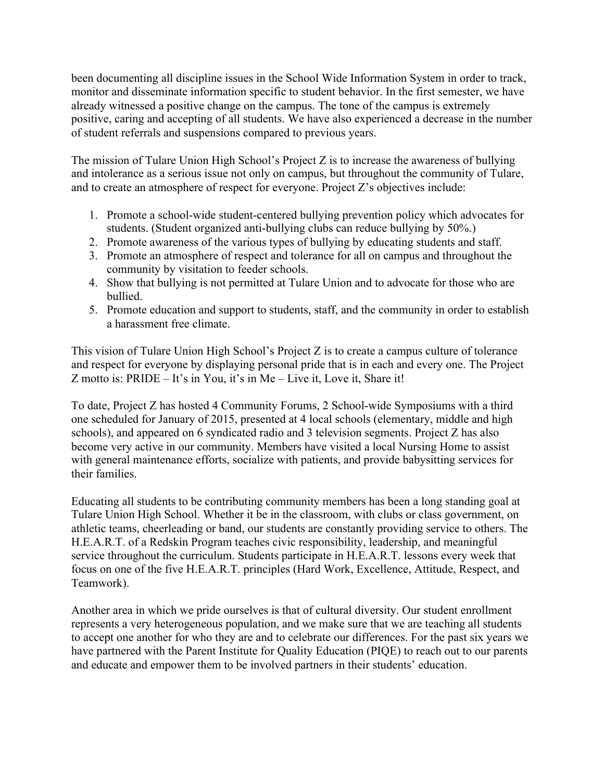been documenting all discipline issues in the School Wide Information System in order to track, monitor and disseminate information specific to student behavior. In the first semester, we have already witnessed a positive change on the campus. The tone of the campus is extremely positive, caring and accepting of all students. We have also experienced a decrease in the number of student referrals and suspensions compared to previous years.

The mission of Tulare Union High School's Project Z is to increase the awareness of bullying and intolerance as a serious issue not only on campus, but throughout the community of Tulare, and to create an atmosphere of respect for everyone. Project Z's objectives include:

- 1. Promote a school-wide student-centered bullying prevention policy which advocates for students. (Student organized anti-bullying clubs can reduce bullying by 50%.)
- 2. Promote awareness of the various types of bullying by educating students and staff.
- 3. Promote an atmosphere of respect and tolerance for all on campus and throughout the community by visitation to feeder schools.
- 4. Show that bullying is not permitted at Tulare Union and to advocate for those who are bullied.
- 5. Promote education and support to students, staff, and the community in order to establish a harassment free climate.

This vision of Tulare Union High School's Project Z is to create a campus culture of tolerance and respect for everyone by displaying personal pride that is in each and every one. The Project Z motto is: PRIDE – It's in You, it's in Me – Live it, Love it, Share it!

To date, Project Z has hosted 4 Community Forums, 2 School-wide Symposiums with a third one scheduled for January of 2015, presented at 4 local schools (elementary, middle and high schools), and appeared on 6 syndicated radio and 3 television segments. Project Z has also become very active in our community. Members have visited a local Nursing Home to assist with general maintenance efforts, socialize with patients, and provide babysitting services for their families.

Educating all students to be contributing community members has been a long standing goal at Tulare Union High School. Whether it be in the classroom, with clubs or class government, on athletic teams, cheerleading or band, our students are constantly providing service to others. The H.E.A.R.T. of a Redskin Program teaches civic responsibility, leadership, and meaningful service throughout the curriculum. Students participate in H.E.A.R.T. lessons every week that focus on one of the five H.E.A.R.T. principles (Hard Work, Excellence, Attitude, Respect, and Teamwork).

Another area in which we pride ourselves is that of cultural diversity. Our student enrollment represents a very heterogeneous population, and we make sure that we are teaching all students to accept one another for who they are and to celebrate our differences. For the past six years we have partnered with the Parent Institute for Quality Education (PIQE) to reach out to our parents and educate and empower them to be involved partners in their students' education.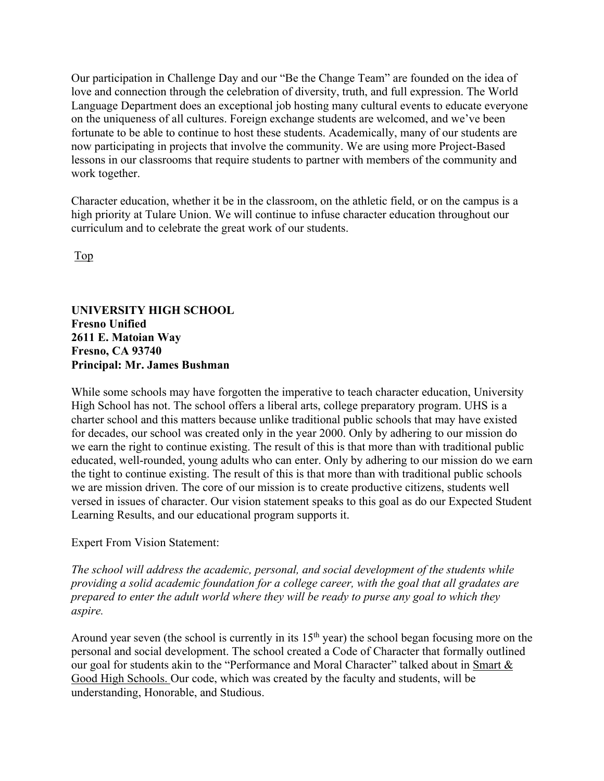Our participation in Challenge Day and our "Be the Change Team" are founded on the idea of love and connection through the celebration of diversity, truth, and full expression. The World Language Department does an exceptional job hosting many cultural events to educate everyone on the uniqueness of all cultures. Foreign exchange students are welcomed, and we've been fortunate to be able to continue to host these students. Academically, many of our students are now participating in projects that involve the community. We are using more Project-Based lessons in our classrooms that require students to partner with members of the community and work together.

Character education, whether it be in the classroom, on the athletic field, or on the campus is a high priority at Tulare Union. We will continue to infuse character education throughout our curriculum and to celebrate the great work of our students.

Top

#### **UNIVERSITY HIGH SCHOOL Fresno Unified 2611 E. Matoian Way Fresno, CA 93740 Principal: Mr. James Bushman**

While some schools may have forgotten the imperative to teach character education, University High School has not. The school offers a liberal arts, college preparatory program. UHS is a charter school and this matters because unlike traditional public schools that may have existed for decades, our school was created only in the year 2000. Only by adhering to our mission do we earn the right to continue existing. The result of this is that more than with traditional public educated, well-rounded, young adults who can enter. Only by adhering to our mission do we earn the tight to continue existing. The result of this is that more than with traditional public schools we are mission driven. The core of our mission is to create productive citizens, students well versed in issues of character. Our vision statement speaks to this goal as do our Expected Student Learning Results, and our educational program supports it.

#### Expert From Vision Statement:

*The school will address the academic, personal, and social development of the students while providing a solid academic foundation for a college career, with the goal that all gradates are prepared to enter the adult world where they will be ready to purse any goal to which they aspire.* 

Around year seven (the school is currently in its 15<sup>th</sup> year) the school began focusing more on the personal and social development. The school created a Code of Character that formally outlined our goal for students akin to the "Performance and Moral Character" talked about in Smart & Good High Schools. Our code, which was created by the faculty and students, will be understanding, Honorable, and Studious.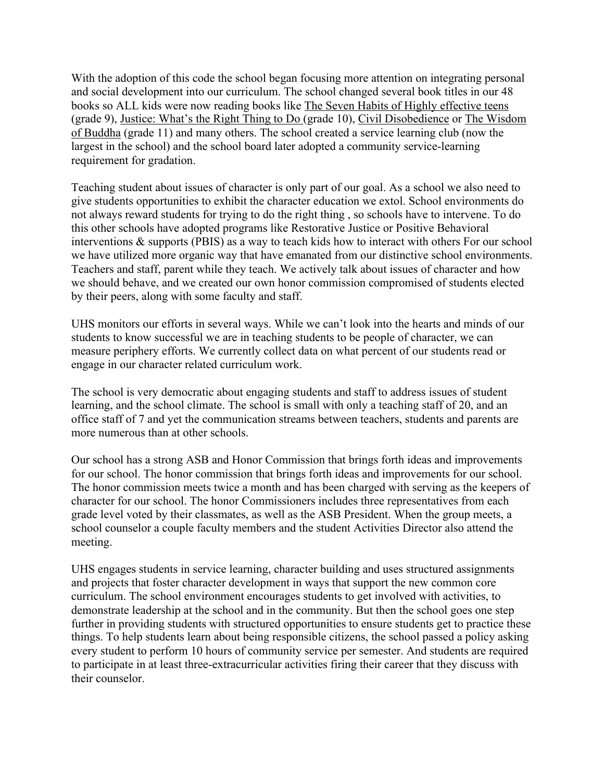With the adoption of this code the school began focusing more attention on integrating personal and social development into our curriculum. The school changed several book titles in our 48 books so ALL kids were now reading books like The Seven Habits of Highly effective teens (grade 9), Justice: What's the Right Thing to Do (grade 10), Civil Disobedience or The Wisdom of Buddha (grade 11) and many others. The school created a service learning club (now the largest in the school) and the school board later adopted a community service-learning requirement for gradation.

Teaching student about issues of character is only part of our goal. As a school we also need to give students opportunities to exhibit the character education we extol. School environments do not always reward students for trying to do the right thing , so schools have to intervene. To do this other schools have adopted programs like Restorative Justice or Positive Behavioral interventions & supports (PBIS) as a way to teach kids how to interact with others For our school we have utilized more organic way that have emanated from our distinctive school environments. Teachers and staff, parent while they teach. We actively talk about issues of character and how we should behave, and we created our own honor commission compromised of students elected by their peers, along with some faculty and staff.

UHS monitors our efforts in several ways. While we can't look into the hearts and minds of our students to know successful we are in teaching students to be people of character, we can measure periphery efforts. We currently collect data on what percent of our students read or engage in our character related curriculum work.

The school is very democratic about engaging students and staff to address issues of student learning, and the school climate. The school is small with only a teaching staff of 20, and an office staff of 7 and yet the communication streams between teachers, students and parents are more numerous than at other schools.

Our school has a strong ASB and Honor Commission that brings forth ideas and improvements for our school. The honor commission that brings forth ideas and improvements for our school. The honor commission meets twice a month and has been charged with serving as the keepers of character for our school. The honor Commissioners includes three representatives from each grade level voted by their classmates, as well as the ASB President. When the group meets, a school counselor a couple faculty members and the student Activities Director also attend the meeting.

UHS engages students in service learning, character building and uses structured assignments and projects that foster character development in ways that support the new common core curriculum. The school environment encourages students to get involved with activities, to demonstrate leadership at the school and in the community. But then the school goes one step further in providing students with structured opportunities to ensure students get to practice these things. To help students learn about being responsible citizens, the school passed a policy asking every student to perform 10 hours of community service per semester. And students are required to participate in at least three-extracurricular activities firing their career that they discuss with their counselor.